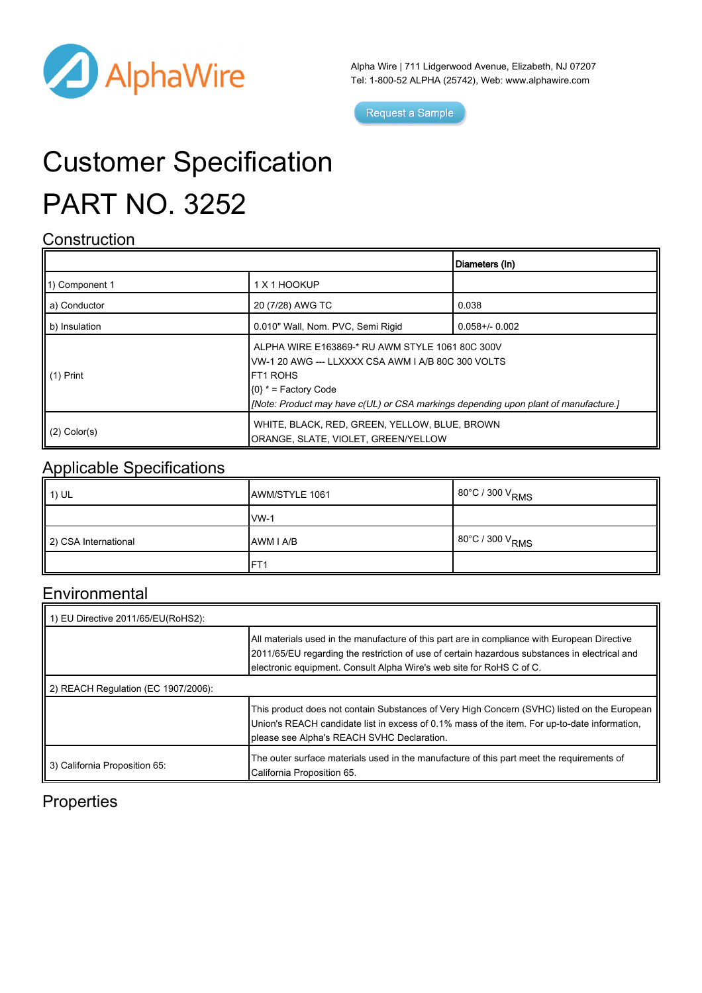

Alpha Wire | 711 Lidgerwood Avenue, Elizabeth, NJ 07207 Tel: 1-800-52 ALPHA (25742), Web: [www.alphawire.com](http://www.alphawire.com)

Request a Sample

# Customer Specification PART NO. 3252

#### **Construction**

|                       |                                                                                                                                                                                                                                            | Diameters (In)      |
|-----------------------|--------------------------------------------------------------------------------------------------------------------------------------------------------------------------------------------------------------------------------------------|---------------------|
| 11) Component 1       | 1 X 1 HOOKUP                                                                                                                                                                                                                               |                     |
| a) Conductor          | 20 (7/28) AWG TC                                                                                                                                                                                                                           | 0.038               |
| b) Insulation         | 0.010" Wall, Nom. PVC, Semi Rigid                                                                                                                                                                                                          | $0.058 + / - 0.002$ |
| $\parallel$ (1) Print | ALPHA WIRE E163869-* RU AWM STYLE 1061 80C 300V<br>VW-1 20 AWG --- LLXXXX CSA AWM I A/B 80C 300 VOLTS<br><b>IFT1 ROHS</b><br>$(0)$ * = Factory Code<br>[Note: Product may have c(UL) or CSA markings depending upon plant of manufacture.] |                     |
| $(2)$ Color(s)        | WHITE, BLACK, RED, GREEN, YELLOW, BLUE, BROWN<br>ORANGE, SLATE, VIOLET, GREEN/YELLOW                                                                                                                                                       |                     |

#### Applicable Specifications

| $\parallel$ 1) UL    | AWM/STYLE 1061    | $80^{\circ}$ C / 300 V <sub>RMS</sub> |
|----------------------|-------------------|---------------------------------------|
|                      | $IVM-1$           |                                       |
| 2) CSA International | <b>JAWM I A/B</b> | 80°C / 300 V <sub>RMS</sub>           |
|                      | FT <sub>1</sub>   |                                       |

#### **Environmental**

| 1) EU Directive 2011/65/EU(RoHS2):  |                                                                                                                                                                                                                                                                       |  |
|-------------------------------------|-----------------------------------------------------------------------------------------------------------------------------------------------------------------------------------------------------------------------------------------------------------------------|--|
|                                     | All materials used in the manufacture of this part are in compliance with European Directive<br>2011/65/EU regarding the restriction of use of certain hazardous substances in electrical and<br>electronic equipment. Consult Alpha Wire's web site for RoHS C of C. |  |
| 2) REACH Regulation (EC 1907/2006): |                                                                                                                                                                                                                                                                       |  |
|                                     | This product does not contain Substances of Very High Concern (SVHC) listed on the European<br>Union's REACH candidate list in excess of 0.1% mass of the item. For up-to-date information,<br>please see Alpha's REACH SVHC Declaration.                             |  |
| 3) California Proposition 65:       | The outer surface materials used in the manufacture of this part meet the requirements of<br>California Proposition 65.                                                                                                                                               |  |

### **Properties**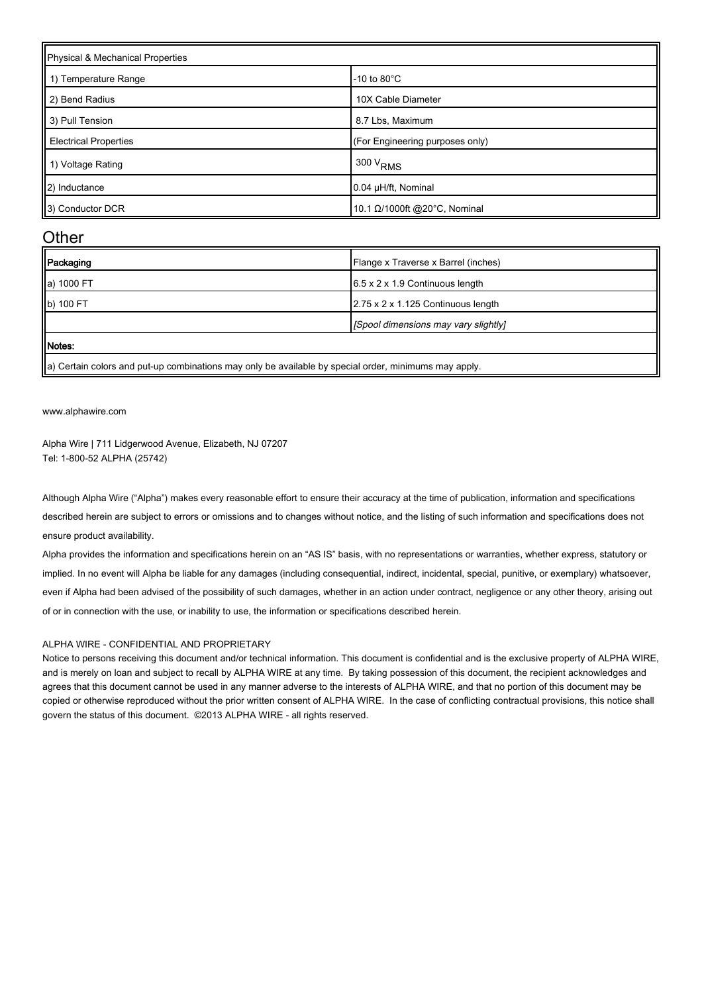| Physical & Mechanical Properties |                                 |  |
|----------------------------------|---------------------------------|--|
| 1) Temperature Range             | $-10$ to $80^{\circ}$ C         |  |
| 2) Bend Radius                   | 10X Cable Diameter              |  |
| 3) Pull Tension                  | 8.7 Lbs, Maximum                |  |
| <b>Electrical Properties</b>     | (For Engineering purposes only) |  |
| 1) Voltage Rating                | $1300 V_{RMS}$                  |  |
| 2) Inductance                    | 0.04 µH/ft, Nominal             |  |
| 3) Conductor DCR                 | 10.1 Ω/1000ft @20°C, Nominal    |  |

#### **Other**

| Packaging  | Flange x Traverse x Barrel (inches)         |
|------------|---------------------------------------------|
| a) 1000 FT | $6.5 \times 2 \times 1.9$ Continuous length |
| b) 100 FT  | 2.75 x 2 x 1.125 Continuous length          |
|            | [Spool dimensions may vary slightly]        |
| Motes:     |                                             |

 $\parallel$ a) Certain colors and put-up combinations may only be available by special order, minimums may apply.

[www.alphawire.com](http://www.alphawire.com)

Alpha Wire | 711 Lidgerwood Avenue, Elizabeth, NJ 07207 Tel: 1-800-52 ALPHA (25742)

Although Alpha Wire ("Alpha") makes every reasonable effort to ensure their accuracy at the time of publication, information and specifications described herein are subject to errors or omissions and to changes without notice, and the listing of such information and specifications does not ensure product availability.

Alpha provides the information and specifications herein on an "AS IS" basis, with no representations or warranties, whether express, statutory or implied. In no event will Alpha be liable for any damages (including consequential, indirect, incidental, special, punitive, or exemplary) whatsoever, even if Alpha had been advised of the possibility of such damages, whether in an action under contract, negligence or any other theory, arising out of or in connection with the use, or inability to use, the information or specifications described herein.

#### ALPHA WIRE - CONFIDENTIAL AND PROPRIETARY

Notice to persons receiving this document and/or technical information. This document is confidential and is the exclusive property of ALPHA WIRE, and is merely on loan and subject to recall by ALPHA WIRE at any time. By taking possession of this document, the recipient acknowledges and agrees that this document cannot be used in any manner adverse to the interests of ALPHA WIRE, and that no portion of this document may be copied or otherwise reproduced without the prior written consent of ALPHA WIRE. In the case of conflicting contractual provisions, this notice shall govern the status of this document. ©2013 ALPHA WIRE - all rights reserved.